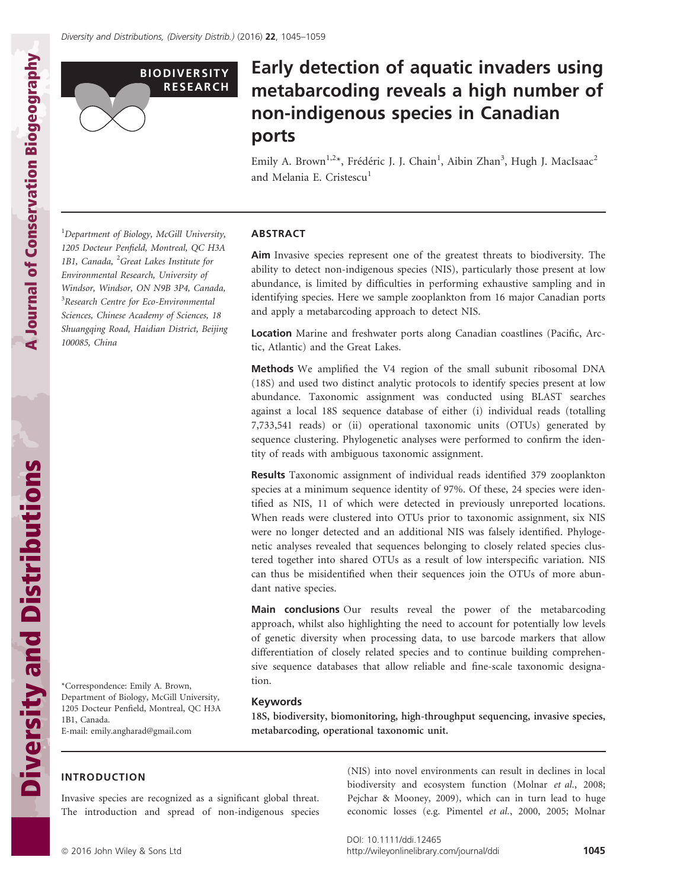

# Early detection of aquatic invaders using metabarcoding reveals a high number of non-indigenous species in Canadian ports

Emily A. Brown<sup>1,2</sup>\*, Frédéric J. J. Chain<sup>1</sup>, Aibin Zhan<sup>3</sup>, Hugh J. MacIsaac<sup>2</sup> and Melania E. Cristescu<sup>1</sup>

<sup>1</sup>Department of Biology, McGill University, 1205 Docteur Penfield, Montreal, QC H3A 1B1, Canada, <sup>2</sup>Great Lakes Institute for Environmental Research, University of Windsor, Windsor, ON N9B 3P4, Canada, <sup>3</sup>Research Centre for Eco-Environmental Sciences, Chinese Academy of Sciences, 18 Shuangqing Road, Haidian District, Beijing 100085, China

A Journal of Conservation Biogeography

A Journal of Conservation Biogeography

Diversity and Distributions

**Diversity and Distributions** 

#### \*Correspondence: Emily A. Brown, Department of Biology, McGill University, 1205 Docteur Penfield, Montreal, QC H3A 1B1, Canada. E-mail: emily.angharad@gmail.com

# ABSTRACT

Aim Invasive species represent one of the greatest threats to biodiversity. The ability to detect non-indigenous species (NIS), particularly those present at low abundance, is limited by difficulties in performing exhaustive sampling and in identifying species. Here we sample zooplankton from 16 major Canadian ports and apply a metabarcoding approach to detect NIS.

Location Marine and freshwater ports along Canadian coastlines (Pacific, Arctic, Atlantic) and the Great Lakes.

Methods We amplified the V4 region of the small subunit ribosomal DNA (18S) and used two distinct analytic protocols to identify species present at low abundance. Taxonomic assignment was conducted using BLAST searches against a local 18S sequence database of either (i) individual reads (totalling 7,733,541 reads) or (ii) operational taxonomic units (OTUs) generated by sequence clustering. Phylogenetic analyses were performed to confirm the identity of reads with ambiguous taxonomic assignment.

Results Taxonomic assignment of individual reads identified 379 zooplankton species at a minimum sequence identity of 97%. Of these, 24 species were identified as NIS, 11 of which were detected in previously unreported locations. When reads were clustered into OTUs prior to taxonomic assignment, six NIS were no longer detected and an additional NIS was falsely identified. Phylogenetic analyses revealed that sequences belonging to closely related species clustered together into shared OTUs as a result of low interspecific variation. NIS can thus be misidentified when their sequences join the OTUs of more abundant native species.

Main conclusions Our results reveal the power of the metabarcoding approach, whilst also highlighting the need to account for potentially low levels of genetic diversity when processing data, to use barcode markers that allow differentiation of closely related species and to continue building comprehensive sequence databases that allow reliable and fine-scale taxonomic designation.

## Keywords

18S, biodiversity, biomonitoring, high-throughput sequencing, invasive species, metabarcoding, operational taxonomic unit.

# INTRODUCTION

Invasive species are recognized as a significant global threat. The introduction and spread of non-indigenous species (NIS) into novel environments can result in declines in local biodiversity and ecosystem function (Molnar et al., 2008; Pejchar & Mooney, 2009), which can in turn lead to huge economic losses (e.g. Pimentel et al., 2000, 2005; Molnar

DOI: 10.1111/ddi.12465 ª 2016 John Wiley & Sons Ltd http://wileyonlinelibrary.com/journal/ddi 1045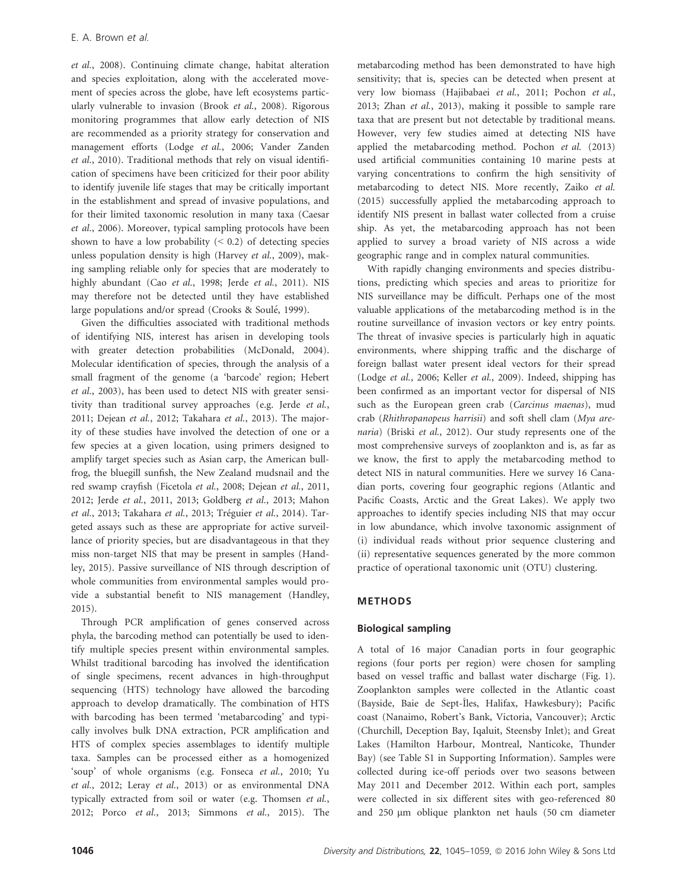et al., 2008). Continuing climate change, habitat alteration and species exploitation, along with the accelerated movement of species across the globe, have left ecosystems particularly vulnerable to invasion (Brook et al., 2008). Rigorous monitoring programmes that allow early detection of NIS are recommended as a priority strategy for conservation and management efforts (Lodge et al., 2006; Vander Zanden et al., 2010). Traditional methods that rely on visual identification of specimens have been criticized for their poor ability to identify juvenile life stages that may be critically important in the establishment and spread of invasive populations, and for their limited taxonomic resolution in many taxa (Caesar et al., 2006). Moreover, typical sampling protocols have been shown to have a low probability  $( $0.2$ )$  of detecting species unless population density is high (Harvey et al., 2009), making sampling reliable only for species that are moderately to highly abundant (Cao et al., 1998; Jerde et al., 2011). NIS may therefore not be detected until they have established large populations and/or spread (Crooks & Soulé, 1999).

Given the difficulties associated with traditional methods of identifying NIS, interest has arisen in developing tools with greater detection probabilities (McDonald, 2004). Molecular identification of species, through the analysis of a small fragment of the genome (a 'barcode' region; Hebert et al., 2003), has been used to detect NIS with greater sensitivity than traditional survey approaches (e.g. Jerde et al., 2011; Dejean et al., 2012; Takahara et al., 2013). The majority of these studies have involved the detection of one or a few species at a given location, using primers designed to amplify target species such as Asian carp, the American bullfrog, the bluegill sunfish, the New Zealand mudsnail and the red swamp crayfish (Ficetola et al., 2008; Dejean et al., 2011, 2012; Jerde et al., 2011, 2013; Goldberg et al., 2013; Mahon et al., 2013; Takahara et al., 2013; Tréguier et al., 2014). Targeted assays such as these are appropriate for active surveillance of priority species, but are disadvantageous in that they miss non-target NIS that may be present in samples (Handley, 2015). Passive surveillance of NIS through description of whole communities from environmental samples would provide a substantial benefit to NIS management (Handley, 2015).

Through PCR amplification of genes conserved across phyla, the barcoding method can potentially be used to identify multiple species present within environmental samples. Whilst traditional barcoding has involved the identification of single specimens, recent advances in high-throughput sequencing (HTS) technology have allowed the barcoding approach to develop dramatically. The combination of HTS with barcoding has been termed 'metabarcoding' and typically involves bulk DNA extraction, PCR amplification and HTS of complex species assemblages to identify multiple taxa. Samples can be processed either as a homogenized 'soup' of whole organisms (e.g. Fonseca et al., 2010; Yu et al., 2012; Leray et al., 2013) or as environmental DNA typically extracted from soil or water (e.g. Thomsen et al., 2012; Porco et al., 2013; Simmons et al., 2015). The metabarcoding method has been demonstrated to have high sensitivity; that is, species can be detected when present at very low biomass (Hajibabaei et al., 2011; Pochon et al., 2013; Zhan et al., 2013), making it possible to sample rare taxa that are present but not detectable by traditional means. However, very few studies aimed at detecting NIS have applied the metabarcoding method. Pochon et al. (2013) used artificial communities containing 10 marine pests at varying concentrations to confirm the high sensitivity of metabarcoding to detect NIS. More recently, Zaiko et al. (2015) successfully applied the metabarcoding approach to identify NIS present in ballast water collected from a cruise ship. As yet, the metabarcoding approach has not been applied to survey a broad variety of NIS across a wide geographic range and in complex natural communities.

With rapidly changing environments and species distributions, predicting which species and areas to prioritize for NIS surveillance may be difficult. Perhaps one of the most valuable applications of the metabarcoding method is in the routine surveillance of invasion vectors or key entry points. The threat of invasive species is particularly high in aquatic environments, where shipping traffic and the discharge of foreign ballast water present ideal vectors for their spread (Lodge et al., 2006; Keller et al., 2009). Indeed, shipping has been confirmed as an important vector for dispersal of NIS such as the European green crab (Carcinus maenas), mud crab (Rhithropanopeus harrisii) and soft shell clam (Mya arenaria) (Briski et al., 2012). Our study represents one of the most comprehensive surveys of zooplankton and is, as far as we know, the first to apply the metabarcoding method to detect NIS in natural communities. Here we survey 16 Canadian ports, covering four geographic regions (Atlantic and Pacific Coasts, Arctic and the Great Lakes). We apply two approaches to identify species including NIS that may occur in low abundance, which involve taxonomic assignment of (i) individual reads without prior sequence clustering and (ii) representative sequences generated by the more common practice of operational taxonomic unit (OTU) clustering.

# METHODS

# Biological sampling

A total of 16 major Canadian ports in four geographic regions (four ports per region) were chosen for sampling based on vessel traffic and ballast water discharge (Fig. 1). Zooplankton samples were collected in the Atlantic coast (Bayside, Baie de Sept-^Iles, Halifax, Hawkesbury); Pacific coast (Nanaimo, Robert's Bank, Victoria, Vancouver); Arctic (Churchill, Deception Bay, Iqaluit, Steensby Inlet); and Great Lakes (Hamilton Harbour, Montreal, Nanticoke, Thunder Bay) (see Table S1 in Supporting Information). Samples were collected during ice-off periods over two seasons between May 2011 and December 2012. Within each port, samples were collected in six different sites with geo-referenced 80 and 250 µm oblique plankton net hauls (50 cm diameter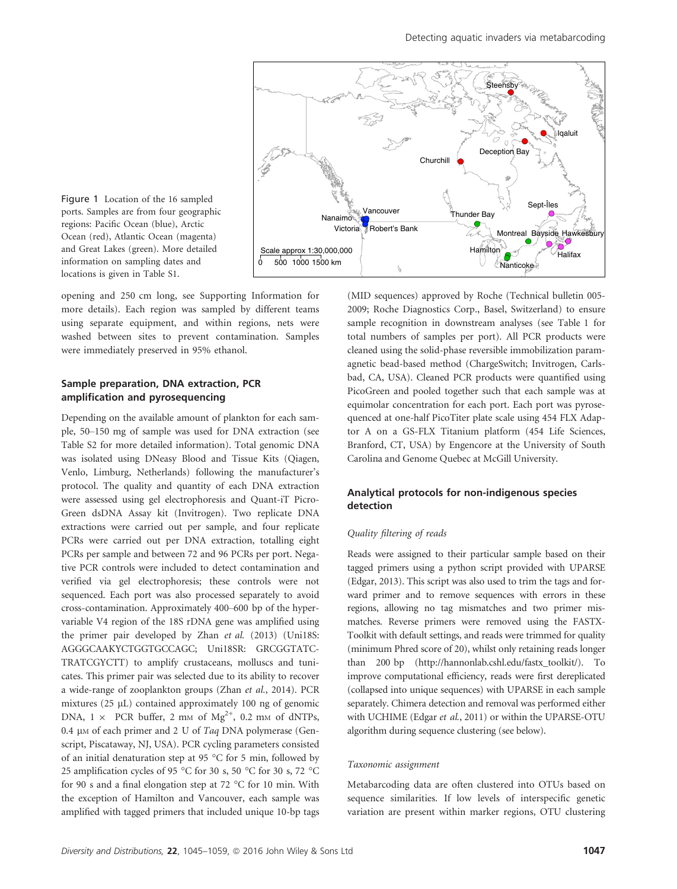

Figure 1 Location of the 16 sampled ports. Samples are from four geographic regions: Pacific Ocean (blue), Arctic Ocean (red), Atlantic Ocean (magenta) and Great Lakes (green). More detailed information on sampling dates and locations is given in Table S1.

opening and 250 cm long, see Supporting Information for more details). Each region was sampled by different teams using separate equipment, and within regions, nets were washed between sites to prevent contamination. Samples were immediately preserved in 95% ethanol.

## Sample preparation, DNA extraction, PCR amplification and pyrosequencing

Depending on the available amount of plankton for each sample, 50–150 mg of sample was used for DNA extraction (see Table S2 for more detailed information). Total genomic DNA was isolated using DNeasy Blood and Tissue Kits (Qiagen, Venlo, Limburg, Netherlands) following the manufacturer's protocol. The quality and quantity of each DNA extraction were assessed using gel electrophoresis and Quant-iT Picro-Green dsDNA Assay kit (Invitrogen). Two replicate DNA extractions were carried out per sample, and four replicate PCRs were carried out per DNA extraction, totalling eight PCRs per sample and between 72 and 96 PCRs per port. Negative PCR controls were included to detect contamination and verified via gel electrophoresis; these controls were not sequenced. Each port was also processed separately to avoid cross-contamination. Approximately 400–600 bp of the hypervariable V4 region of the 18S rDNA gene was amplified using the primer pair developed by Zhan et al. (2013) (Uni18S: AGGGCAAKYCTGGTGCCAGC; Uni18SR: GRCGGTATC-TRATCGYCTT) to amplify crustaceans, molluscs and tunicates. This primer pair was selected due to its ability to recover a wide-range of zooplankton groups (Zhan et al., 2014). PCR mixtures (25  $\mu$ L) contained approximately 100 ng of genomic DNA,  $1 \times$  PCR buffer, 2 mm of Mg<sup>2+</sup>, 0.2 mm of dNTPs, 0.4  $\mu$ M of each primer and 2 U of Taq DNA polymerase (Genscript, Piscataway, NJ, USA). PCR cycling parameters consisted of an initial denaturation step at 95 °C for 5 min, followed by 25 amplification cycles of 95 °C for 30 s, 50 °C for 30 s, 72 °C for 90 s and a final elongation step at 72 °C for 10 min. With the exception of Hamilton and Vancouver, each sample was amplified with tagged primers that included unique 10-bp tags (MID sequences) approved by Roche (Technical bulletin 005- 2009; Roche Diagnostics Corp., Basel, Switzerland) to ensure sample recognition in downstream analyses (see Table 1 for total numbers of samples per port). All PCR products were cleaned using the solid-phase reversible immobilization paramagnetic bead-based method (ChargeSwitch; Invitrogen, Carlsbad, CA, USA). Cleaned PCR products were quantified using PicoGreen and pooled together such that each sample was at equimolar concentration for each port. Each port was pyrosequenced at one-half PicoTiter plate scale using 454 FLX Adaptor A on a GS-FLX Titanium platform (454 Life Sciences, Branford, CT, USA) by Engencore at the University of South Carolina and Genome Quebec at McGill University.

## Analytical protocols for non-indigenous species detection

#### Quality filtering of reads

Reads were assigned to their particular sample based on their tagged primers using a python script provided with UPARSE (Edgar, 2013). This script was also used to trim the tags and forward primer and to remove sequences with errors in these regions, allowing no tag mismatches and two primer mismatches. Reverse primers were removed using the FASTX-Toolkit with default settings, and reads were trimmed for quality (minimum Phred score of 20), whilst only retaining reads longer than 200 bp [\(http://hannonlab.cshl.edu/fastx\\_toolkit/](http://hannonlab.cshl.edu/fastx_toolkit/)). To improve computational efficiency, reads were first dereplicated (collapsed into unique sequences) with UPARSE in each sample separately. Chimera detection and removal was performed either with UCHIME (Edgar et al., 2011) or within the UPARSE-OTU algorithm during sequence clustering (see below).

#### Taxonomic assignment

Metabarcoding data are often clustered into OTUs based on sequence similarities. If low levels of interspecific genetic variation are present within marker regions, OTU clustering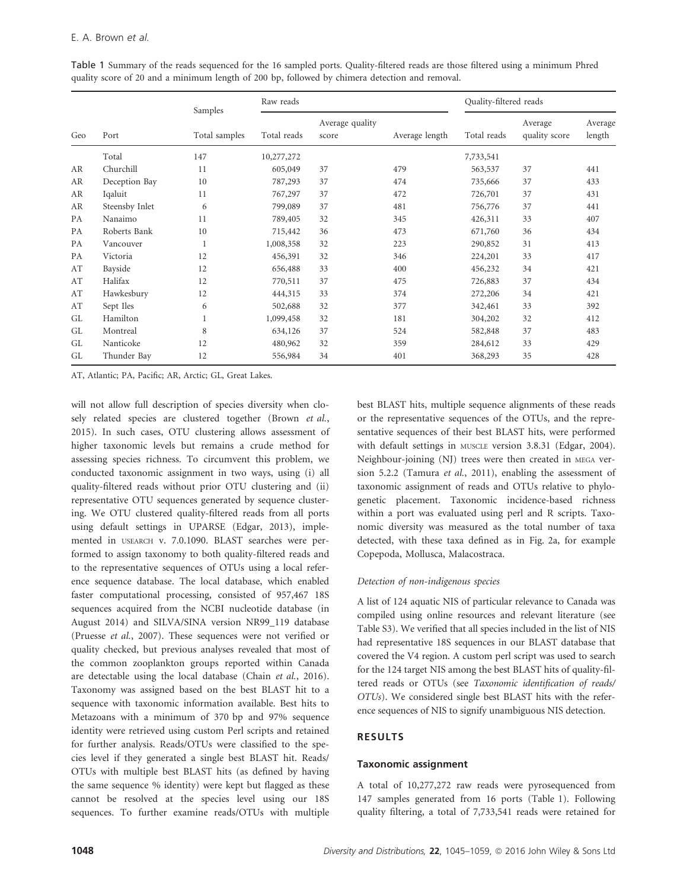|     |                | Samples       | Raw reads   |                          |                | Quality-filtered reads |                          |                   |
|-----|----------------|---------------|-------------|--------------------------|----------------|------------------------|--------------------------|-------------------|
| Geo | Port           | Total samples | Total reads | Average quality<br>score | Average length | Total reads            | Average<br>quality score | Average<br>length |
|     | Total          | 147           | 10,277,272  |                          |                | 7,733,541              |                          |                   |
| AR  | Churchill      | 11            | 605,049     | 37                       | 479            | 563,537                | 37                       | 441               |
| AR  | Deception Bay  | 10            | 787,293     | 37                       | 474            | 735,666                | 37                       | 433               |
| AR  | Iqaluit        | 11            | 767,297     | 37                       | 472            | 726,701                | 37                       | 431               |
| AR  | Steensby Inlet | 6             | 799,089     | 37                       | 481            | 756,776                | 37                       | 441               |
| PA  | Nanaimo        | 11            | 789,405     | 32                       | 345            | 426,311                | 33                       | 407               |
| PA  | Roberts Bank   | 10            | 715,442     | 36                       | 473            | 671,760                | 36                       | 434               |
| PA  | Vancouver      | $\mathbf{1}$  | 1,008,358   | 32                       | 223            | 290,852                | 31                       | 413               |
| PA  | Victoria       | 12            | 456,391     | 32                       | 346            | 224,201                | 33                       | 417               |
| AT  | Bayside        | 12            | 656,488     | 33                       | 400            | 456,232                | 34                       | 421               |
| AT  | Halifax        | 12            | 770,511     | 37                       | 475            | 726,883                | 37                       | 434               |
| AT  | Hawkesbury     | 12            | 444,315     | 33                       | 374            | 272,206                | 34                       | 421               |
| AT  | Sept Iles      | 6             | 502,688     | 32                       | 377            | 342,461                | 33                       | 392               |
| GL  | Hamilton       | 1             | 1,099,458   | 32                       | 181            | 304,202                | 32                       | 412               |
| GL  | Montreal       | 8             | 634,126     | 37                       | 524            | 582,848                | 37                       | 483               |
| GL  | Nanticoke      | 12            | 480,962     | 32                       | 359            | 284,612                | 33                       | 429               |
| GL  | Thunder Bay    | 12            | 556,984     | 34                       | 401            | 368,293                | 35                       | 428               |

Table 1 Summary of the reads sequenced for the 16 sampled ports. Quality-filtered reads are those filtered using a minimum Phred quality score of 20 and a minimum length of 200 bp, followed by chimera detection and removal.

AT, Atlantic; PA, Pacific; AR, Arctic; GL, Great Lakes.

will not allow full description of species diversity when closely related species are clustered together (Brown et al., 2015). In such cases, OTU clustering allows assessment of higher taxonomic levels but remains a crude method for assessing species richness. To circumvent this problem, we conducted taxonomic assignment in two ways, using (i) all quality-filtered reads without prior OTU clustering and (ii) representative OTU sequences generated by sequence clustering. We OTU clustered quality-filtered reads from all ports using default settings in UPARSE (Edgar, 2013), implemented in USEARCH v. 7.0.1090. BLAST searches were performed to assign taxonomy to both quality-filtered reads and to the representative sequences of OTUs using a local reference sequence database. The local database, which enabled faster computational processing, consisted of 957,467 18S sequences acquired from the NCBI nucleotide database (in August 2014) and SILVA/SINA version NR99\_119 database (Pruesse et al., 2007). These sequences were not verified or quality checked, but previous analyses revealed that most of the common zooplankton groups reported within Canada are detectable using the local database (Chain et al., 2016). Taxonomy was assigned based on the best BLAST hit to a sequence with taxonomic information available. Best hits to Metazoans with a minimum of 370 bp and 97% sequence identity were retrieved using custom Perl scripts and retained for further analysis. Reads/OTUs were classified to the species level if they generated a single best BLAST hit. Reads/ OTUs with multiple best BLAST hits (as defined by having the same sequence % identity) were kept but flagged as these cannot be resolved at the species level using our 18S sequences. To further examine reads/OTUs with multiple best BLAST hits, multiple sequence alignments of these reads or the representative sequences of the OTUs, and the representative sequences of their best BLAST hits, were performed with default settings in MUSCLE version 3.8.31 (Edgar, 2004). Neighbour-joining (NJ) trees were then created in MEGA version 5.2.2 (Tamura et al., 2011), enabling the assessment of taxonomic assignment of reads and OTUs relative to phylogenetic placement. Taxonomic incidence-based richness within a port was evaluated using perl and R scripts. Taxonomic diversity was measured as the total number of taxa detected, with these taxa defined as in Fig. 2a, for example Copepoda, Mollusca, Malacostraca.

#### Detection of non-indigenous species

A list of 124 aquatic NIS of particular relevance to Canada was compiled using online resources and relevant literature (see Table S3). We verified that all species included in the list of NIS had representative 18S sequences in our BLAST database that covered the V4 region. A custom perl script was used to search for the 124 target NIS among the best BLAST hits of quality-filtered reads or OTUs (see Taxonomic identification of reads/ OTUs). We considered single best BLAST hits with the reference sequences of NIS to signify unambiguous NIS detection.

## RESULTS

## Taxonomic assignment

A total of 10,277,272 raw reads were pyrosequenced from 147 samples generated from 16 ports (Table 1). Following quality filtering, a total of 7,733,541 reads were retained for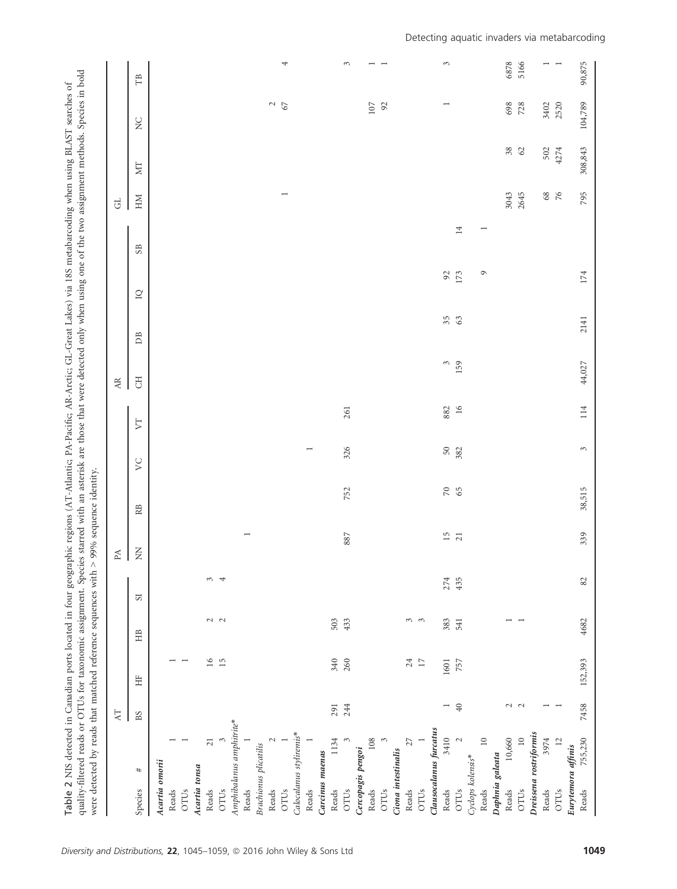|                              | AT              |                 |               |                | $\mathbb{P}\mathbb{A}$ |           |                |          | AR        |      |               |                | GL     |         |                          |           |
|------------------------------|-----------------|-----------------|---------------|----------------|------------------------|-----------|----------------|----------|-----------|------|---------------|----------------|--------|---------|--------------------------|-----------|
| $\ddagger$<br>Species        | <b>BS</b>       | Ë               | HB            | $\overline{S}$ | $\widetilde{\Xi}$      | RB        | <b>VC</b>      | $\nabla$ | <b>FO</b> | DB   | $\supseteq$   | S <sub>B</sub> | HМ     | NТ      | $\sum_{i=1}^{n}$         | <b>TB</b> |
| Acartia omorii               |                 |                 |               |                |                        |           |                |          |           |      |               |                |        |         |                          |           |
| Reads                        |                 |                 |               |                |                        |           |                |          |           |      |               |                |        |         |                          |           |
| <b>OTUs</b>                  |                 |                 |               |                |                        |           |                |          |           |      |               |                |        |         |                          |           |
| Acartia tonsa                |                 |                 |               |                |                        |           |                |          |           |      |               |                |        |         |                          |           |
| Reads                        | $\overline{21}$ | 16              | $\sim$ $\sim$ | 3              |                        |           |                |          |           |      |               |                |        |         |                          |           |
| <b>OTU<sub>s</sub></b>       | $\mathfrak{S}$  | 15              |               | $\overline{4}$ |                        |           |                |          |           |      |               |                |        |         |                          |           |
| Amphibalanus amphitrite*     |                 |                 |               |                |                        |           |                |          |           |      |               |                |        |         |                          |           |
| Reads                        |                 |                 |               |                |                        |           |                |          |           |      |               |                |        |         |                          |           |
| <b>Brachionus</b> plicatilis |                 |                 |               |                |                        |           |                |          |           |      |               |                |        |         |                          |           |
| Reads                        | $\sim$          |                 |               |                |                        |           |                |          |           |      |               |                |        |         | $\frac{2}{6}$            |           |
| <b>OTU<sub>s</sub></b>       |                 |                 |               |                |                        |           |                |          |           |      |               |                |        |         |                          | 4         |
| Calocalanus styliremis*      |                 |                 |               |                |                        |           |                |          |           |      |               |                |        |         |                          |           |
| Reads                        | $\overline{ }$  |                 |               |                |                        |           |                |          |           |      |               |                |        |         |                          |           |
| Carcinus maenas              |                 |                 |               |                |                        |           |                |          |           |      |               |                |        |         |                          |           |
| Reads                        | 1134            | 340<br>291      | 503           |                |                        |           |                |          |           |      |               |                |        |         |                          |           |
| <b>OTU<sub>s</sub></b>       | $\mathcal{E}$   | 260<br>244      | 433           |                | 887                    | 752       | 326            | 261      |           |      |               |                |        |         |                          | 3         |
| Cercopagis pengoi            |                 |                 |               |                |                        |           |                |          |           |      |               |                |        |         |                          |           |
| Reads                        | 108             |                 |               |                |                        |           |                |          |           |      |               |                |        |         | $107\,$                  |           |
| <b>OTU<sub>s</sub></b>       | $\mathfrak{S}$  |                 |               |                |                        |           |                |          |           |      |               |                |        |         | 92                       |           |
| Ciona intestinalis           |                 |                 |               |                |                        |           |                |          |           |      |               |                |        |         |                          |           |
| Reads                        |                 | 24              | $\frac{3}{2}$ |                |                        |           |                |          |           |      |               |                |        |         |                          |           |
| <b>OTU<sub>s</sub></b>       |                 | $\overline{17}$ |               |                |                        |           |                |          |           |      |               |                |        |         |                          |           |
| Clausocalanus furcatus       |                 |                 |               |                |                        |           |                |          |           |      |               |                |        |         |                          |           |
| Reads                        | 3410            | 1601<br>Η       | 383           | 274            | 15                     | $\gtrsim$ | $50\,$         | 882      | $\omega$  | 35   | $\mathcal{S}$ |                |        |         | $\overline{\phantom{0}}$ | 3         |
| <b>OTU<sub>s</sub></b>       | $\sim$          | 757<br>$40\,$   | 541           | 435            | $\overline{21}$        | 65        | 382            | 16       | 159       | 63   | 173           | 14             |        |         |                          |           |
| Cyclops kolensis*            |                 |                 |               |                |                        |           |                |          |           |      |               |                |        |         |                          |           |
| Reads                        | $\supseteq$     |                 |               |                |                        |           |                |          |           |      | G             |                |        |         |                          |           |
| Daphnia galeata              |                 |                 |               |                |                        |           |                |          |           |      |               |                |        |         |                          |           |
| Reads                        | 10,660          | $\sim$ $\sim$   |               |                |                        |           |                |          |           |      |               |                | 3043   | $38\,$  | 698                      | 6878      |
| <b>OTU<sub>s</sub></b>       | $\approx$       |                 |               |                |                        |           |                |          |           |      |               |                | 2645   | 62      | 728                      | 5166      |
| Dreissena rostriformis       |                 |                 |               |                |                        |           |                |          |           |      |               |                |        |         |                          |           |
| Reads                        | 3974            |                 |               |                |                        |           |                |          |           |      |               |                | $68\,$ | 502     | 3402                     |           |
| <b>OTU<sub>s</sub></b>       | $\overline{12}$ |                 |               |                |                        |           |                |          |           |      |               |                | 76     | 4274    | 2520                     |           |
| Eurytemora affinis           |                 |                 |               |                |                        |           |                |          |           |      |               |                |        |         |                          |           |
| 755,230<br>Reads             | 7458            | 152,393         | 4682          | $82\,$         | 339                    | 38,515    | $\mathfrak{S}$ | 114      | 44,027    | 2141 | 174           |                | 795    | 308,843 | 104,789                  | 90,875    |
|                              |                 |                 |               |                |                        |           |                |          |           |      |               |                |        |         |                          |           |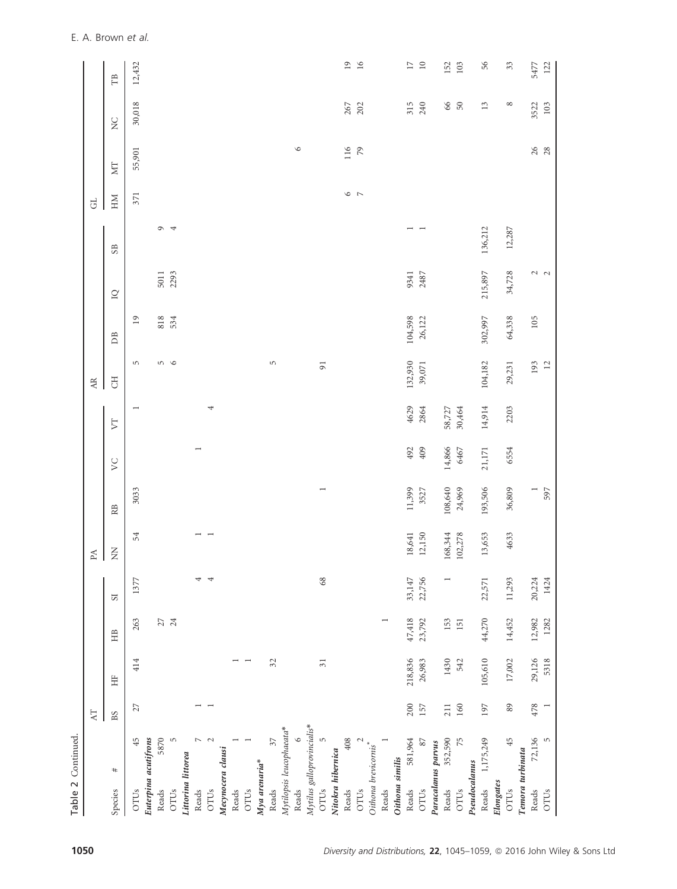| Table 2 Continued          |               |                 |              |        |                        |                |          |          |                                   |         |               |                |                |          |                    |                     |
|----------------------------|---------------|-----------------|--------------|--------|------------------------|----------------|----------|----------|-----------------------------------|---------|---------------|----------------|----------------|----------|--------------------|---------------------|
|                            | AT            |                 |              |        | $\mathbf{P}\mathbf{A}$ |                |          |          | $\overline{\mathbf{A}}\mathbf{R}$ |         |               |                | GL             |          |                    |                     |
| #<br>Species               | <b>BS</b>     | Ë               | HB           | 51     | $\widetilde{\Xi}$      | R <sub>B</sub> | <b>S</b> | $\nabla$ | <b>FO</b>                         | DB      | $\supseteq$   | S <sub>B</sub> | HМ             | NT       | $_{\rm Z}^{\rm C}$ | $\overline{\Gamma}$ |
| <b>OTU<sub>s</sub></b>     | 27<br>$45$    | 414             | 263          | 1377   | 54                     | 3033           |          |          | S                                 | 19      |               |                | 371            | 55,901   | 30,018             | 12,432              |
| Euterpina acutifrons       |               |                 |              |        |                        |                |          |          |                                   |         |               |                |                |          |                    |                     |
| Reads                      | 5870          |                 |              |        |                        |                |          |          |                                   | 818     | 5011          | $\circ$        |                |          |                    |                     |
| <b>OTU<sub>s</sub></b>     | S             |                 | $27$<br>$24$ |        |                        |                |          |          | 5 <sup>0</sup>                    | 534     | 2293          | 4              |                |          |                    |                     |
| Littorina littorea         |               |                 |              |        |                        |                |          |          |                                   |         |               |                |                |          |                    |                     |
| Reads                      |               |                 |              |        |                        |                |          |          |                                   |         |               |                |                |          |                    |                     |
| <b>OTUs</b>                | $\sim$        |                 |              |        |                        |                |          | 4        |                                   |         |               |                |                |          |                    |                     |
| Mecynocera clausi          |               |                 |              |        |                        |                |          |          |                                   |         |               |                |                |          |                    |                     |
| Reads                      |               |                 |              |        |                        |                |          |          |                                   |         |               |                |                |          |                    |                     |
| <b>OTU<sub>s</sub></b>     |               |                 |              |        |                        |                |          |          |                                   |         |               |                |                |          |                    |                     |
| Mya arenaria*              |               |                 |              |        |                        |                |          |          |                                   |         |               |                |                |          |                    |                     |
| Reads                      | 37            | 32              |              |        |                        |                |          |          | $\sqrt{2}$                        |         |               |                |                |          |                    |                     |
| Mytilopsis leucophaeata*   |               |                 |              |        |                        |                |          |          |                                   |         |               |                |                |          |                    |                     |
| Reads                      | $\circ$       |                 |              |        |                        |                |          |          |                                   |         |               |                |                | $\circ$  |                    |                     |
| Mytilus galloprovincialis* |               |                 |              |        |                        |                |          |          |                                   |         |               |                |                |          |                    |                     |
| <b>OTU<sub>s</sub></b>     | 5             | $\overline{31}$ |              | 68     |                        |                |          |          | $\overline{91}$                   |         |               |                |                |          |                    |                     |
| Nitokra hibernica          |               |                 |              |        |                        |                |          |          |                                   |         |               |                |                |          |                    |                     |
| Reads                      | 408           |                 |              |        |                        |                |          |          |                                   |         |               |                |                | 116      | 267                | $\overline{19}$     |
| <b>OTU<sub>s</sub></b>     |               |                 |              |        |                        |                |          |          |                                   |         |               |                | $\circ$ $\sim$ | 79       | 202                | 16                  |
| Oithona brevicornis*       |               |                 |              |        |                        |                |          |          |                                   |         |               |                |                |          |                    |                     |
| Reads                      |               |                 |              |        |                        |                |          |          |                                   |         |               |                |                |          |                    |                     |
| Oithona similis            |               |                 |              |        |                        |                |          |          |                                   |         |               |                |                |          |                    |                     |
| 581,964<br>Reads           | 200           | 218,836         | 47,418       | 33,147 | 18,641                 | 11,399         | 492      | 4629     | 132,930                           | 104,598 | 9341          |                |                |          | 315                | $\Box$              |
| <b>OTUs</b>                | 157<br>$87\,$ | 26,983          | 23,792       | 22,756 | 12,150                 | 3527           | 409      | 2864     | 39,071                            | 26,122  | 2487          |                |                |          | 240                | $10$                |
| Paracalanus parvus         |               |                 |              |        |                        |                |          |          |                                   |         |               |                |                |          |                    |                     |
| 352,590<br>Reads           | 211           | 1430            | 153          |        | 168,344                | 108,640        | 14,866   | 58,727   |                                   |         |               |                |                |          | $66$               | 152                 |
| <b>OTUs</b>                | 160<br>75     | 542             | 151          |        | 102,278                | 24,969         | 6467     | 30,464   |                                   |         |               |                |                |          | $50\,$             | 103                 |
| Pseudocalanus              |               |                 |              |        |                        |                |          |          |                                   |         |               |                |                |          |                    |                     |
| 1,175,249<br>Reads         | 197           | 105,610         | 44,270       | 22,571 | 13,653                 | 193,506        | 21,171   | 14,914   | 104,182                           | 302,997 | 215,897       | 136,212        |                |          | 13                 | 56                  |
| Elongates                  |               |                 |              |        |                        |                |          |          |                                   |         |               |                |                |          |                    |                     |
| <b>OTU<sub>s</sub></b>     | $\,89$<br>45  | 17,002          | 14,452       | 11,293 | 4633                   | 36,809         | 6554     | 2203     | 29,231                            | 64,338  | 34,728        | 12,287         |                |          | $^{\circ}$         | 33                  |
| Temora turbinata           |               |                 |              |        |                        |                |          |          |                                   |         |               |                |                |          |                    |                     |
| 72,136<br>Reads            | 478           | 29,126          | 12,982       | 20,224 |                        | $\overline{a}$ |          |          | 193                               | 105     | $\sim$ $\sim$ |                |                | 26<br>28 | 3522               | 5477                |
| <b>OTUs</b>                | S             | 5318            | 1282         | 1424   |                        | 597            |          |          | $12\,$                            |         |               |                |                |          | $103\,$            | 122                 |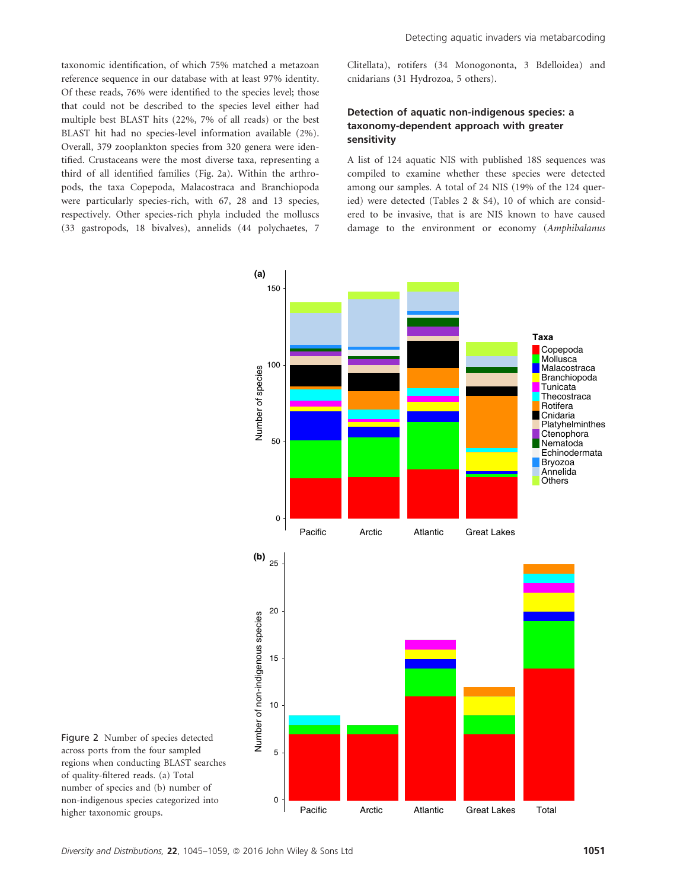taxonomic identification, of which 75% matched a metazoan reference sequence in our database with at least 97% identity. Of these reads, 76% were identified to the species level; those that could not be described to the species level either had multiple best BLAST hits (22%, 7% of all reads) or the best BLAST hit had no species-level information available (2%). Overall, 379 zooplankton species from 320 genera were identified. Crustaceans were the most diverse taxa, representing a third of all identified families (Fig. 2a). Within the arthropods, the taxa Copepoda, Malacostraca and Branchiopoda were particularly species-rich, with 67, 28 and 13 species, respectively. Other species-rich phyla included the molluscs (33 gastropods, 18 bivalves), annelids (44 polychaetes, 7

Detecting aquatic invaders via metabarcoding

Clitellata), rotifers (34 Monogononta, 3 Bdelloidea) and cnidarians (31 Hydrozoa, 5 others).

## Detection of aquatic non-indigenous species: a taxonomy-dependent approach with greater sensitivity

A list of 124 aquatic NIS with published 18S sequences was compiled to examine whether these species were detected among our samples. A total of 24 NIS (19% of the 124 queried) were detected (Tables 2 & S4), 10 of which are considered to be invasive, that is are NIS known to have caused damage to the environment or economy (Amphibalanus



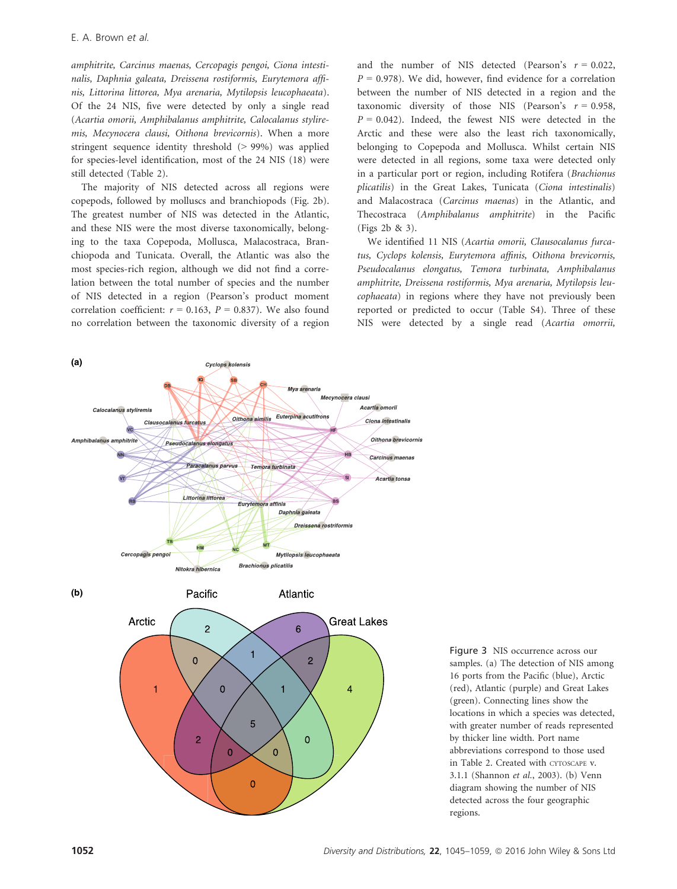amphitrite, Carcinus maenas, Cercopagis pengoi, Ciona intestinalis, Daphnia galeata, Dreissena rostiformis, Eurytemora affinis, Littorina littorea, Mya arenaria, Mytilopsis leucophaeata). Of the 24 NIS, five were detected by only a single read (Acartia omorii, Amphibalanus amphitrite, Calocalanus styliremis, Mecynocera clausi, Oithona brevicornis). When a more stringent sequence identity threshold (> 99%) was applied for species-level identification, most of the 24 NIS (18) were still detected (Table 2).

The majority of NIS detected across all regions were copepods, followed by molluscs and branchiopods (Fig. 2b). The greatest number of NIS was detected in the Atlantic, and these NIS were the most diverse taxonomically, belonging to the taxa Copepoda, Mollusca, Malacostraca, Branchiopoda and Tunicata. Overall, the Atlantic was also the most species-rich region, although we did not find a correlation between the total number of species and the number of NIS detected in a region (Pearson's product moment correlation coefficient:  $r = 0.163$ ,  $P = 0.837$ ). We also found no correlation between the taxonomic diversity of a region

and the number of NIS detected (Pearson's  $r = 0.022$ ,  $P = 0.978$ ). We did, however, find evidence for a correlation between the number of NIS detected in a region and the taxonomic diversity of those NIS (Pearson's  $r = 0.958$ ,  $P = 0.042$ ). Indeed, the fewest NIS were detected in the Arctic and these were also the least rich taxonomically, belonging to Copepoda and Mollusca. Whilst certain NIS were detected in all regions, some taxa were detected only in a particular port or region, including Rotifera (Brachionus plicatilis) in the Great Lakes, Tunicata (Ciona intestinalis) and Malacostraca (Carcinus maenas) in the Atlantic, and Thecostraca (Amphibalanus amphitrite) in the Pacific (Figs 2b & 3).

We identified 11 NIS (Acartia omorii, Clausocalanus furcatus, Cyclops kolensis, Eurytemora affinis, Oithona brevicornis, Pseudocalanus elongatus, Temora turbinata, Amphibalanus amphitrite, Dreissena rostiformis, Mya arenaria, Mytilopsis leucophaeata) in regions where they have not previously been reported or predicted to occur (Table S4). Three of these NIS were detected by a single read (Acartia omorrii,



Figure 3 NIS occurrence across our samples. (a) The detection of NIS among 16 ports from the Pacific (blue), Arctic (red), Atlantic (purple) and Great Lakes (green). Connecting lines show the locations in which a species was detected, with greater number of reads represented by thicker line width. Port name abbreviations correspond to those used in Table 2. Created with CYTOSCAPE v. 3.1.1 (Shannon et al., 2003). (b) Venn diagram showing the number of NIS detected across the four geographic regions.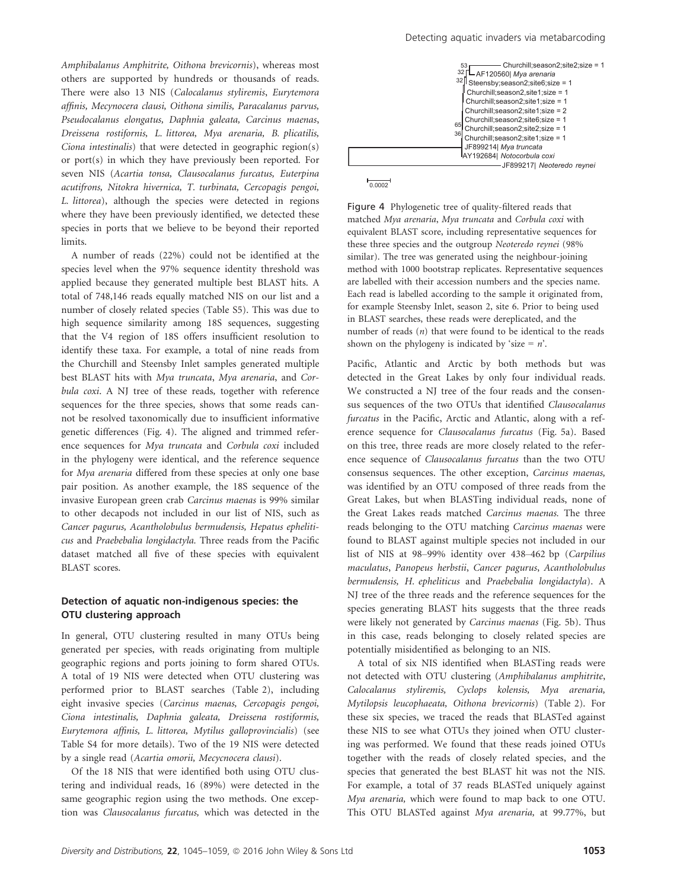Amphibalanus Amphitrite, Oithona brevicornis), whereas most others are supported by hundreds or thousands of reads. There were also 13 NIS (Calocalanus styliremis, Eurytemora affinis, Mecynocera clausi, Oithona similis, Paracalanus parvus, Pseudocalanus elongatus, Daphnia galeata, Carcinus maenas, Dreissena rostifornis, L. littorea, Mya arenaria, B. plicatilis, Ciona intestinalis) that were detected in geographic region(s) or port(s) in which they have previously been reported. For seven NIS (Acartia tonsa, Clausocalanus furcatus, Euterpina acutifrons, Nitokra hivernica, T. turbinata, Cercopagis pengoi, L. littorea), although the species were detected in regions where they have been previously identified, we detected these species in ports that we believe to be beyond their reported limits.

A number of reads (22%) could not be identified at the species level when the 97% sequence identity threshold was applied because they generated multiple best BLAST hits. A total of 748,146 reads equally matched NIS on our list and a number of closely related species (Table S5). This was due to high sequence similarity among 18S sequences, suggesting that the V4 region of 18S offers insufficient resolution to identify these taxa. For example, a total of nine reads from the Churchill and Steensby Inlet samples generated multiple best BLAST hits with Mya truncata, Mya arenaria, and Corbula coxi. A NJ tree of these reads, together with reference sequences for the three species, shows that some reads cannot be resolved taxonomically due to insufficient informative genetic differences (Fig. 4). The aligned and trimmed reference sequences for Mya truncata and Corbula coxi included in the phylogeny were identical, and the reference sequence for Mya arenaria differed from these species at only one base pair position. As another example, the 18S sequence of the invasive European green crab Carcinus maenas is 99% similar to other decapods not included in our list of NIS, such as Cancer pagurus, Acantholobulus bermudensis, Hepatus epheliticus and Praebebalia longidactyla. Three reads from the Pacific dataset matched all five of these species with equivalent BLAST scores.

## Detection of aquatic non-indigenous species: the OTU clustering approach

In general, OTU clustering resulted in many OTUs being generated per species, with reads originating from multiple geographic regions and ports joining to form shared OTUs. A total of 19 NIS were detected when OTU clustering was performed prior to BLAST searches (Table 2), including eight invasive species (Carcinus maenas, Cercopagis pengoi, Ciona intestinalis, Daphnia galeata, Dreissena rostiformis, Eurytemora affinis, L. littorea, Mytilus galloprovincialis) (see Table S4 for more details). Two of the 19 NIS were detected by a single read (Acartia omorii, Mecycnocera clausi).

Of the 18 NIS that were identified both using OTU clustering and individual reads, 16 (89%) were detected in the same geographic region using the two methods. One exception was Clausocalanus furcatus, which was detected in the





Figure 4 Phylogenetic tree of quality-filtered reads that matched Mya arenaria, Mya truncata and Corbula coxi with equivalent BLAST score, including representative sequences for these three species and the outgroup Neoteredo reynei (98% similar). The tree was generated using the neighbour-joining method with 1000 bootstrap replicates. Representative sequences are labelled with their accession numbers and the species name. Each read is labelled according to the sample it originated from, for example Steensby Inlet, season 2, site 6. Prior to being used in BLAST searches, these reads were dereplicated, and the number of reads  $(n)$  that were found to be identical to the reads shown on the phylogeny is indicated by 'size =  $n$ '.

Pacific, Atlantic and Arctic by both methods but was detected in the Great Lakes by only four individual reads. We constructed a NJ tree of the four reads and the consensus sequences of the two OTUs that identified Clausocalanus furcatus in the Pacific, Arctic and Atlantic, along with a reference sequence for Clausocalanus furcatus (Fig. 5a). Based on this tree, three reads are more closely related to the reference sequence of Clausocalanus furcatus than the two OTU consensus sequences. The other exception, Carcinus maenas, was identified by an OTU composed of three reads from the Great Lakes, but when BLASTing individual reads, none of the Great Lakes reads matched Carcinus maenas. The three reads belonging to the OTU matching Carcinus maenas were found to BLAST against multiple species not included in our list of NIS at 98–99% identity over 438–462 bp (Carpilius maculatus, Panopeus herbstii, Cancer pagurus, Acantholobulus bermudensis, H. epheliticus and Praebebalia longidactyla). A NJ tree of the three reads and the reference sequences for the species generating BLAST hits suggests that the three reads were likely not generated by Carcinus maenas (Fig. 5b). Thus in this case, reads belonging to closely related species are potentially misidentified as belonging to an NIS.

A total of six NIS identified when BLASTing reads were not detected with OTU clustering (Amphibalanus amphitrite, Calocalanus styliremis, Cyclops kolensis, Mya arenaria, Mytilopsis leucophaeata, Oithona brevicornis) (Table 2). For these six species, we traced the reads that BLASTed against these NIS to see what OTUs they joined when OTU clustering was performed. We found that these reads joined OTUs together with the reads of closely related species, and the species that generated the best BLAST hit was not the NIS. For example, a total of 37 reads BLASTed uniquely against Mya arenaria, which were found to map back to one OTU. This OTU BLASTed against Mya arenaria, at 99.77%, but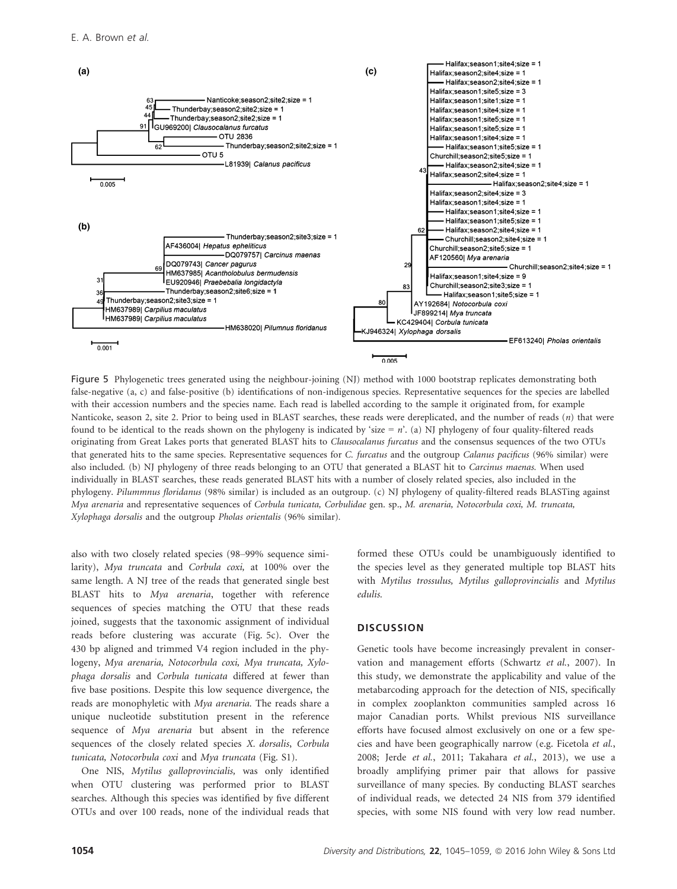

Figure 5 Phylogenetic trees generated using the neighbour-joining (NJ) method with 1000 bootstrap replicates demonstrating both false-negative (a, c) and false-positive (b) identifications of non-indigenous species. Representative sequences for the species are labelled with their accession numbers and the species name. Each read is labelled according to the sample it originated from, for example Nanticoke, season 2, site 2. Prior to being used in BLAST searches, these reads were dereplicated, and the number of reads  $(n)$  that were found to be identical to the reads shown on the phylogeny is indicated by 'size = n'. (a) NJ phylogeny of four quality-filtered reads originating from Great Lakes ports that generated BLAST hits to Clausocalanus furcatus and the consensus sequences of the two OTUs that generated hits to the same species. Representative sequences for C. furcatus and the outgroup Calanus pacificus (96% similar) were also included. (b) NJ phylogeny of three reads belonging to an OTU that generated a BLAST hit to Carcinus maenas. When used individually in BLAST searches, these reads generated BLAST hits with a number of closely related species, also included in the phylogeny. Pilummnus floridanus (98% similar) is included as an outgroup. (c) NJ phylogeny of quality-filtered reads BLASTing against Mya arenaria and representative sequences of Corbula tunicata, Corbulidae gen. sp., M. arenaria, Notocorbula coxi, M. truncata, Xylophaga dorsalis and the outgroup Pholas orientalis (96% similar).

also with two closely related species (98–99% sequence similarity), Mya truncata and Corbula coxi, at 100% over the same length. A NJ tree of the reads that generated single best BLAST hits to Mya arenaria, together with reference sequences of species matching the OTU that these reads joined, suggests that the taxonomic assignment of individual reads before clustering was accurate (Fig. 5c). Over the 430 bp aligned and trimmed V4 region included in the phylogeny, Mya arenaria, Notocorbula coxi, Mya truncata, Xylophaga dorsalis and Corbula tunicata differed at fewer than five base positions. Despite this low sequence divergence, the reads are monophyletic with Mya arenaria. The reads share a unique nucleotide substitution present in the reference sequence of Mya arenaria but absent in the reference sequences of the closely related species X. dorsalis, Corbula tunicata, Notocorbula coxi and Mya truncata (Fig. S1).

One NIS, Mytilus galloprovincialis, was only identified when OTU clustering was performed prior to BLAST searches. Although this species was identified by five different OTUs and over 100 reads, none of the individual reads that

formed these OTUs could be unambiguously identified to the species level as they generated multiple top BLAST hits with Mytilus trossulus, Mytilus galloprovincialis and Mytilus edulis.

#### **DISCUSSION**

Genetic tools have become increasingly prevalent in conservation and management efforts (Schwartz et al., 2007). In this study, we demonstrate the applicability and value of the metabarcoding approach for the detection of NIS, specifically in complex zooplankton communities sampled across 16 major Canadian ports. Whilst previous NIS surveillance efforts have focused almost exclusively on one or a few species and have been geographically narrow (e.g. Ficetola et al., 2008; Jerde et al., 2011; Takahara et al., 2013), we use a broadly amplifying primer pair that allows for passive surveillance of many species. By conducting BLAST searches of individual reads, we detected 24 NIS from 379 identified species, with some NIS found with very low read number.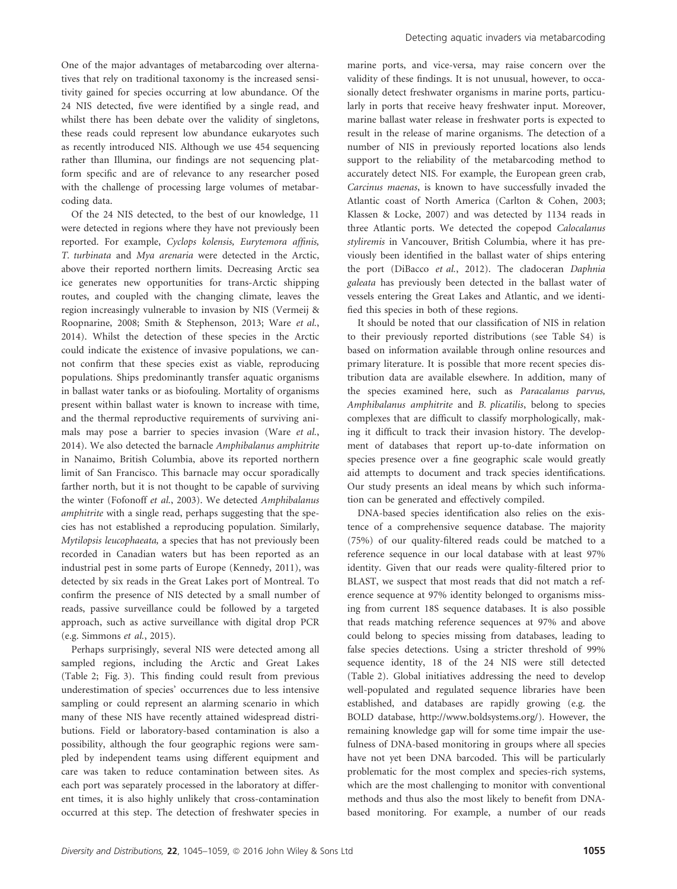One of the major advantages of metabarcoding over alternatives that rely on traditional taxonomy is the increased sensitivity gained for species occurring at low abundance. Of the 24 NIS detected, five were identified by a single read, and whilst there has been debate over the validity of singletons, these reads could represent low abundance eukaryotes such as recently introduced NIS. Although we use 454 sequencing rather than Illumina, our findings are not sequencing platform specific and are of relevance to any researcher posed with the challenge of processing large volumes of metabarcoding data.

Of the 24 NIS detected, to the best of our knowledge, 11 were detected in regions where they have not previously been reported. For example, Cyclops kolensis, Eurytemora affinis, T. turbinata and Mya arenaria were detected in the Arctic, above their reported northern limits. Decreasing Arctic sea ice generates new opportunities for trans-Arctic shipping routes, and coupled with the changing climate, leaves the region increasingly vulnerable to invasion by NIS (Vermeij & Roopnarine, 2008; Smith & Stephenson, 2013; Ware et al., 2014). Whilst the detection of these species in the Arctic could indicate the existence of invasive populations, we cannot confirm that these species exist as viable, reproducing populations. Ships predominantly transfer aquatic organisms in ballast water tanks or as biofouling. Mortality of organisms present within ballast water is known to increase with time, and the thermal reproductive requirements of surviving animals may pose a barrier to species invasion (Ware et al., 2014). We also detected the barnacle Amphibalanus amphitrite in Nanaimo, British Columbia, above its reported northern limit of San Francisco. This barnacle may occur sporadically farther north, but it is not thought to be capable of surviving the winter (Fofonoff et al., 2003). We detected Amphibalanus amphitrite with a single read, perhaps suggesting that the species has not established a reproducing population. Similarly, Mytilopsis leucophaeata, a species that has not previously been recorded in Canadian waters but has been reported as an industrial pest in some parts of Europe (Kennedy, 2011), was detected by six reads in the Great Lakes port of Montreal. To confirm the presence of NIS detected by a small number of reads, passive surveillance could be followed by a targeted approach, such as active surveillance with digital drop PCR (e.g. Simmons et al., 2015).

Perhaps surprisingly, several NIS were detected among all sampled regions, including the Arctic and Great Lakes (Table 2; Fig. 3). This finding could result from previous underestimation of species' occurrences due to less intensive sampling or could represent an alarming scenario in which many of these NIS have recently attained widespread distributions. Field or laboratory-based contamination is also a possibility, although the four geographic regions were sampled by independent teams using different equipment and care was taken to reduce contamination between sites. As each port was separately processed in the laboratory at different times, it is also highly unlikely that cross-contamination occurred at this step. The detection of freshwater species in marine ports, and vice-versa, may raise concern over the validity of these findings. It is not unusual, however, to occasionally detect freshwater organisms in marine ports, particularly in ports that receive heavy freshwater input. Moreover, marine ballast water release in freshwater ports is expected to result in the release of marine organisms. The detection of a number of NIS in previously reported locations also lends support to the reliability of the metabarcoding method to accurately detect NIS. For example, the European green crab, Carcinus maenas, is known to have successfully invaded the Atlantic coast of North America (Carlton & Cohen, 2003; Klassen & Locke, 2007) and was detected by 1134 reads in three Atlantic ports. We detected the copepod Calocalanus styliremis in Vancouver, British Columbia, where it has previously been identified in the ballast water of ships entering the port (DiBacco et al., 2012). The cladoceran Daphnia galeata has previously been detected in the ballast water of vessels entering the Great Lakes and Atlantic, and we identified this species in both of these regions.

It should be noted that our classification of NIS in relation to their previously reported distributions (see Table S4) is based on information available through online resources and primary literature. It is possible that more recent species distribution data are available elsewhere. In addition, many of the species examined here, such as Paracalanus parvus, Amphibalanus amphitrite and B. plicatilis, belong to species complexes that are difficult to classify morphologically, making it difficult to track their invasion history. The development of databases that report up-to-date information on species presence over a fine geographic scale would greatly aid attempts to document and track species identifications. Our study presents an ideal means by which such information can be generated and effectively compiled.

DNA-based species identification also relies on the existence of a comprehensive sequence database. The majority (75%) of our quality-filtered reads could be matched to a reference sequence in our local database with at least 97% identity. Given that our reads were quality-filtered prior to BLAST, we suspect that most reads that did not match a reference sequence at 97% identity belonged to organisms missing from current 18S sequence databases. It is also possible that reads matching reference sequences at 97% and above could belong to species missing from databases, leading to false species detections. Using a stricter threshold of 99% sequence identity, 18 of the 24 NIS were still detected (Table 2). Global initiatives addressing the need to develop well-populated and regulated sequence libraries have been established, and databases are rapidly growing (e.g. the BOLD database, [http://www.boldsystems.org/\)](http://www.boldsystems.org/). However, the remaining knowledge gap will for some time impair the usefulness of DNA-based monitoring in groups where all species have not yet been DNA barcoded. This will be particularly problematic for the most complex and species-rich systems, which are the most challenging to monitor with conventional methods and thus also the most likely to benefit from DNAbased monitoring. For example, a number of our reads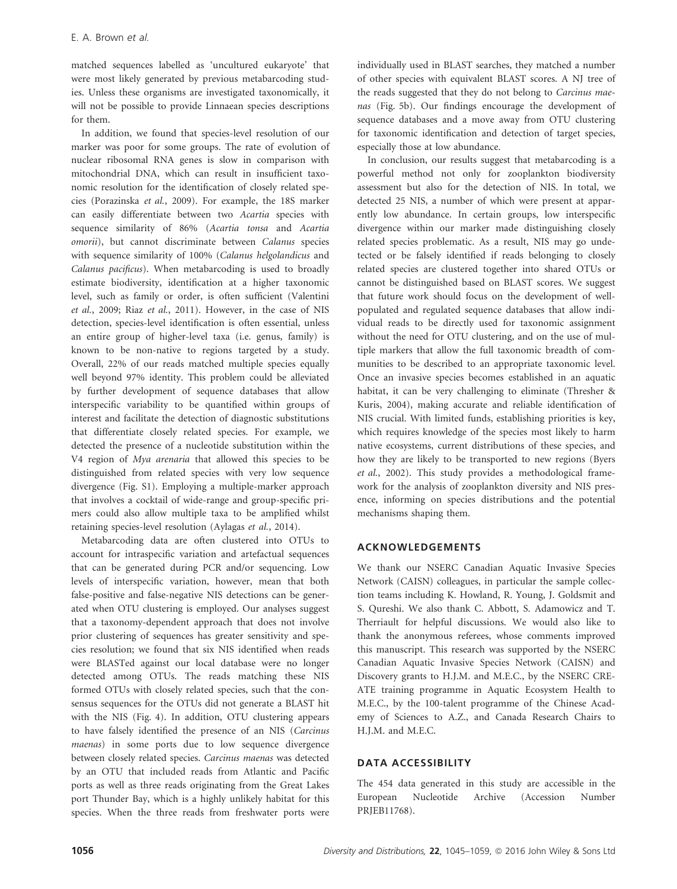matched sequences labelled as 'uncultured eukaryote' that were most likely generated by previous metabarcoding studies. Unless these organisms are investigated taxonomically, it will not be possible to provide Linnaean species descriptions for them.

In addition, we found that species-level resolution of our marker was poor for some groups. The rate of evolution of nuclear ribosomal RNA genes is slow in comparison with mitochondrial DNA, which can result in insufficient taxonomic resolution for the identification of closely related species (Porazinska et al., 2009). For example, the 18S marker can easily differentiate between two Acartia species with sequence similarity of 86% (Acartia tonsa and Acartia omorii), but cannot discriminate between Calanus species with sequence similarity of 100% (Calanus helgolandicus and Calanus pacificus). When metabarcoding is used to broadly estimate biodiversity, identification at a higher taxonomic level, such as family or order, is often sufficient (Valentini et al., 2009; Riaz et al., 2011). However, in the case of NIS detection, species-level identification is often essential, unless an entire group of higher-level taxa (i.e. genus, family) is known to be non-native to regions targeted by a study. Overall, 22% of our reads matched multiple species equally well beyond 97% identity. This problem could be alleviated by further development of sequence databases that allow interspecific variability to be quantified within groups of interest and facilitate the detection of diagnostic substitutions that differentiate closely related species. For example, we detected the presence of a nucleotide substitution within the V4 region of Mya arenaria that allowed this species to be distinguished from related species with very low sequence divergence (Fig. S1). Employing a multiple-marker approach that involves a cocktail of wide-range and group-specific primers could also allow multiple taxa to be amplified whilst retaining species-level resolution (Aylagas et al., 2014).

Metabarcoding data are often clustered into OTUs to account for intraspecific variation and artefactual sequences that can be generated during PCR and/or sequencing. Low levels of interspecific variation, however, mean that both false-positive and false-negative NIS detections can be generated when OTU clustering is employed. Our analyses suggest that a taxonomy-dependent approach that does not involve prior clustering of sequences has greater sensitivity and species resolution; we found that six NIS identified when reads were BLASTed against our local database were no longer detected among OTUs. The reads matching these NIS formed OTUs with closely related species, such that the consensus sequences for the OTUs did not generate a BLAST hit with the NIS (Fig. 4). In addition, OTU clustering appears to have falsely identified the presence of an NIS (Carcinus maenas) in some ports due to low sequence divergence between closely related species. Carcinus maenas was detected by an OTU that included reads from Atlantic and Pacific ports as well as three reads originating from the Great Lakes port Thunder Bay, which is a highly unlikely habitat for this species. When the three reads from freshwater ports were

individually used in BLAST searches, they matched a number of other species with equivalent BLAST scores. A NJ tree of the reads suggested that they do not belong to Carcinus maenas (Fig. 5b). Our findings encourage the development of sequence databases and a move away from OTU clustering for taxonomic identification and detection of target species, especially those at low abundance.

In conclusion, our results suggest that metabarcoding is a powerful method not only for zooplankton biodiversity assessment but also for the detection of NIS. In total, we detected 25 NIS, a number of which were present at apparently low abundance. In certain groups, low interspecific divergence within our marker made distinguishing closely related species problematic. As a result, NIS may go undetected or be falsely identified if reads belonging to closely related species are clustered together into shared OTUs or cannot be distinguished based on BLAST scores. We suggest that future work should focus on the development of wellpopulated and regulated sequence databases that allow individual reads to be directly used for taxonomic assignment without the need for OTU clustering, and on the use of multiple markers that allow the full taxonomic breadth of communities to be described to an appropriate taxonomic level. Once an invasive species becomes established in an aquatic habitat, it can be very challenging to eliminate (Thresher & Kuris, 2004), making accurate and reliable identification of NIS crucial. With limited funds, establishing priorities is key, which requires knowledge of the species most likely to harm native ecosystems, current distributions of these species, and how they are likely to be transported to new regions (Byers et al., 2002). This study provides a methodological framework for the analysis of zooplankton diversity and NIS presence, informing on species distributions and the potential mechanisms shaping them.

## ACKNOWLEDGEMENTS

We thank our NSERC Canadian Aquatic Invasive Species Network (CAISN) colleagues, in particular the sample collection teams including K. Howland, R. Young, J. Goldsmit and S. Qureshi. We also thank C. Abbott, S. Adamowicz and T. Therriault for helpful discussions. We would also like to thank the anonymous referees, whose comments improved this manuscript. This research was supported by the NSERC Canadian Aquatic Invasive Species Network (CAISN) and Discovery grants to H.J.M. and M.E.C., by the NSERC CRE-ATE training programme in Aquatic Ecosystem Health to M.E.C., by the 100-talent programme of the Chinese Academy of Sciences to A.Z., and Canada Research Chairs to H.J.M. and M.E.C.

## DATA ACCESSIBILITY

The 454 data generated in this study are accessible in the European Nucleotide Archive (Accession Number [PRJEB11768\)](http://www.ncbi.nlm.nih.gov/nuccore/PRJEB11768).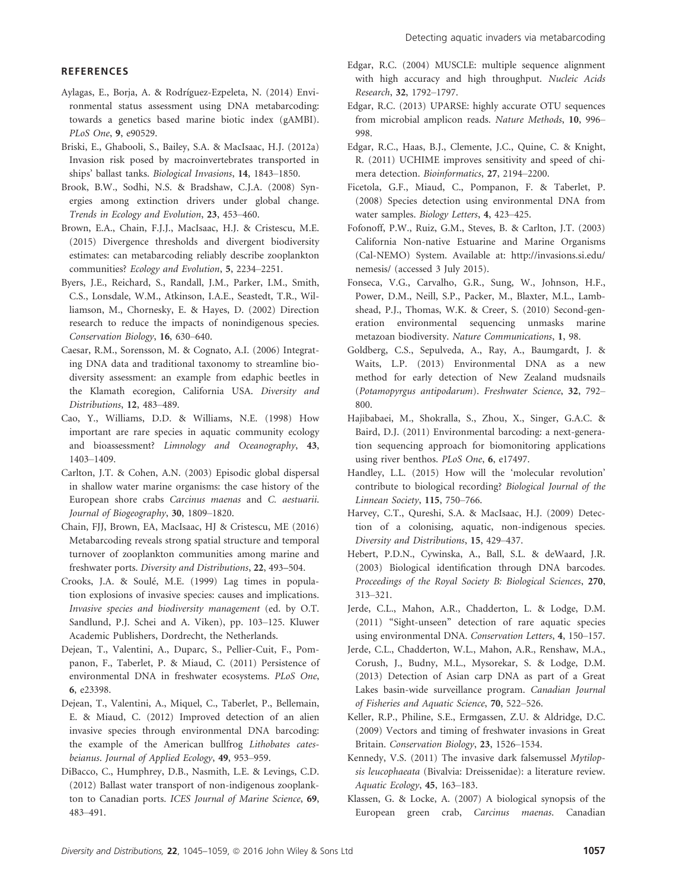#### **REFERENCES**

- Aylagas, E., Borja, A. & Rodrıguez-Ezpeleta, N. (2014) Environmental status assessment using DNA metabarcoding: towards a genetics based marine biotic index (gAMBI). PLoS One, 9, e90529.
- Briski, E., Ghabooli, S., Bailey, S.A. & MacIsaac, H.J. (2012a) Invasion risk posed by macroinvertebrates transported in ships' ballast tanks. Biological Invasions, 14, 1843–1850.
- Brook, B.W., Sodhi, N.S. & Bradshaw, C.J.A. (2008) Synergies among extinction drivers under global change. Trends in Ecology and Evolution, 23, 453–460.
- Brown, E.A., Chain, F.J.J., MacIsaac, H.J. & Cristescu, M.E. (2015) Divergence thresholds and divergent biodiversity estimates: can metabarcoding reliably describe zooplankton communities? Ecology and Evolution, 5, 2234–2251.
- Byers, J.E., Reichard, S., Randall, J.M., Parker, I.M., Smith, C.S., Lonsdale, W.M., Atkinson, I.A.E., Seastedt, T.R., Williamson, M., Chornesky, E. & Hayes, D. (2002) Direction research to reduce the impacts of nonindigenous species. Conservation Biology, 16, 630–640.
- Caesar, R.M., Sorensson, M. & Cognato, A.I. (2006) Integrating DNA data and traditional taxonomy to streamline biodiversity assessment: an example from edaphic beetles in the Klamath ecoregion, California USA. Diversity and Distributions, 12, 483–489.
- Cao, Y., Williams, D.D. & Williams, N.E. (1998) How important are rare species in aquatic community ecology and bioassessment? Limnology and Oceanography, 43, 1403–1409.
- Carlton, J.T. & Cohen, A.N. (2003) Episodic global dispersal in shallow water marine organisms: the case history of the European shore crabs Carcinus maenas and C. aestuarii. Journal of Biogeography, 30, 1809–1820.
- Chain, FJJ, Brown, EA, MacIsaac, HJ & Cristescu, ME (2016) Metabarcoding reveals strong spatial structure and temporal turnover of zooplankton communities among marine and freshwater ports. Diversity and Distributions, 22, 493–504.
- Crooks, J.A. & Soule, M.E. (1999) Lag times in population explosions of invasive species: causes and implications. Invasive species and biodiversity management (ed. by O.T. Sandlund, P.J. Schei and A. Viken), pp. 103–125. Kluwer Academic Publishers, Dordrecht, the Netherlands.
- Dejean, T., Valentini, A., Duparc, S., Pellier-Cuit, F., Pompanon, F., Taberlet, P. & Miaud, C. (2011) Persistence of environmental DNA in freshwater ecosystems. PLoS One, 6, e23398.
- Dejean, T., Valentini, A., Miquel, C., Taberlet, P., Bellemain, E. & Miaud, C. (2012) Improved detection of an alien invasive species through environmental DNA barcoding: the example of the American bullfrog Lithobates catesbeianus. Journal of Applied Ecology, 49, 953–959.
- DiBacco, C., Humphrey, D.B., Nasmith, L.E. & Levings, C.D. (2012) Ballast water transport of non-indigenous zooplankton to Canadian ports. ICES Journal of Marine Science, 69, 483–491.
- Edgar, R.C. (2004) MUSCLE: multiple sequence alignment with high accuracy and high throughput. Nucleic Acids Research, 32, 1792–1797.
- Edgar, R.C. (2013) UPARSE: highly accurate OTU sequences from microbial amplicon reads. Nature Methods, 10, 996– 998.
- Edgar, R.C., Haas, B.J., Clemente, J.C., Quine, C. & Knight, R. (2011) UCHIME improves sensitivity and speed of chimera detection. Bioinformatics, 27, 2194–2200.
- Ficetola, G.F., Miaud, C., Pompanon, F. & Taberlet, P. (2008) Species detection using environmental DNA from water samples. Biology Letters, 4, 423–425.
- Fofonoff, P.W., Ruiz, G.M., Steves, B. & Carlton, J.T. (2003) California Non-native Estuarine and Marine Organisms (Cal-NEMO) System. Available at: [http://invasions.si.edu/](http://invasions.si.edu/nemesis/) [nemesis/](http://invasions.si.edu/nemesis/) (accessed 3 July 2015).
- Fonseca, V.G., Carvalho, G.R., Sung, W., Johnson, H.F., Power, D.M., Neill, S.P., Packer, M., Blaxter, M.L., Lambshead, P.J., Thomas, W.K. & Creer, S. (2010) Second-generation environmental sequencing unmasks marine metazoan biodiversity. Nature Communications, 1, 98.
- Goldberg, C.S., Sepulveda, A., Ray, A., Baumgardt, J. & Waits, L.P. (2013) Environmental DNA as a new method for early detection of New Zealand mudsnails (Potamopyrgus antipodarum). Freshwater Science, 32, 792– 800.
- Hajibabaei, M., Shokralla, S., Zhou, X., Singer, G.A.C. & Baird, D.J. (2011) Environmental barcoding: a next-generation sequencing approach for biomonitoring applications using river benthos. PLoS One, 6, e17497.
- Handley, L.L. (2015) How will the 'molecular revolution' contribute to biological recording? Biological Journal of the Linnean Society, 115, 750–766.
- Harvey, C.T., Qureshi, S.A. & MacIsaac, H.J. (2009) Detection of a colonising, aquatic, non-indigenous species. Diversity and Distributions, 15, 429–437.
- Hebert, P.D.N., Cywinska, A., Ball, S.L. & deWaard, J.R. (2003) Biological identification through DNA barcodes. Proceedings of the Royal Society B: Biological Sciences, 270, 313–321.
- Jerde, C.L., Mahon, A.R., Chadderton, L. & Lodge, D.M. (2011) "Sight-unseen" detection of rare aquatic species using environmental DNA. Conservation Letters, <sup>4</sup>, 150–157.
- Jerde, C.L., Chadderton, W.L., Mahon, A.R., Renshaw, M.A., Corush, J., Budny, M.L., Mysorekar, S. & Lodge, D.M. (2013) Detection of Asian carp DNA as part of a Great Lakes basin-wide surveillance program. Canadian Journal of Fisheries and Aquatic Science, 70, 522–526.
- Keller, R.P., Philine, S.E., Ermgassen, Z.U. & Aldridge, D.C. (2009) Vectors and timing of freshwater invasions in Great Britain. Conservation Biology, 23, 1526–1534.
- Kennedy, V.S. (2011) The invasive dark falsemussel Mytilopsis leucophaeata (Bivalvia: Dreissenidae): a literature review. Aquatic Ecology, 45, 163–183.
- Klassen, G. & Locke, A. (2007) A biological synopsis of the European green crab, Carcinus maenas. Canadian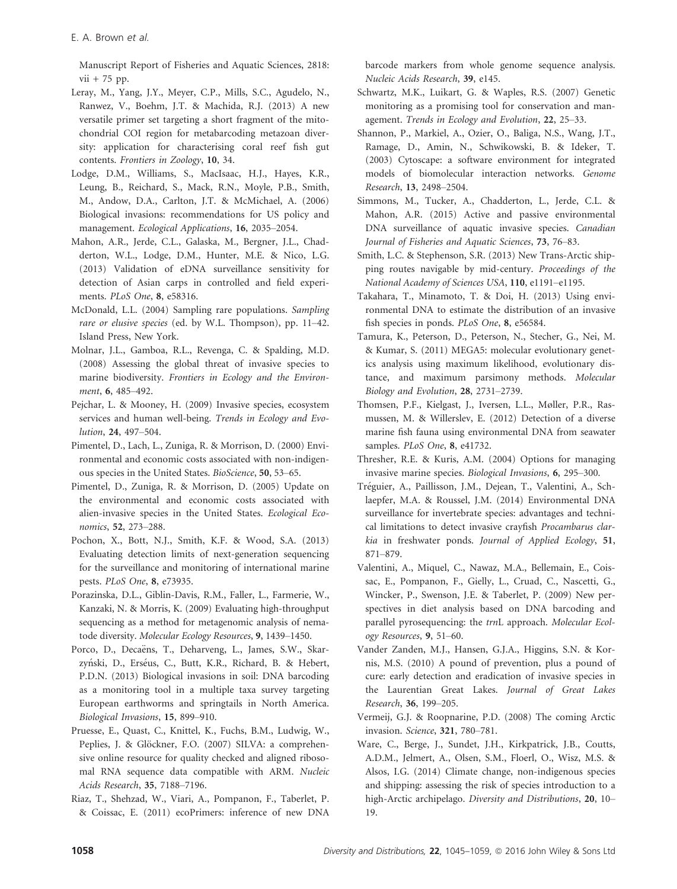Manuscript Report of Fisheries and Aquatic Sciences, 2818: vii + 75 pp.

- Leray, M., Yang, J.Y., Meyer, C.P., Mills, S.C., Agudelo, N., Ranwez, V., Boehm, J.T. & Machida, R.J. (2013) A new versatile primer set targeting a short fragment of the mitochondrial COI region for metabarcoding metazoan diversity: application for characterising coral reef fish gut contents. Frontiers in Zoology, 10, 34.
- Lodge, D.M., Williams, S., MacIsaac, H.J., Hayes, K.R., Leung, B., Reichard, S., Mack, R.N., Moyle, P.B., Smith, M., Andow, D.A., Carlton, J.T. & McMichael, A. (2006) Biological invasions: recommendations for US policy and management. Ecological Applications, 16, 2035–2054.
- Mahon, A.R., Jerde, C.L., Galaska, M., Bergner, J.L., Chadderton, W.L., Lodge, D.M., Hunter, M.E. & Nico, L.G. (2013) Validation of eDNA surveillance sensitivity for detection of Asian carps in controlled and field experiments. PLoS One, 8, e58316.
- McDonald, L.L. (2004) Sampling rare populations. Sampling rare or elusive species (ed. by W.L. Thompson), pp. 11–42. Island Press, New York.
- Molnar, J.L., Gamboa, R.L., Revenga, C. & Spalding, M.D. (2008) Assessing the global threat of invasive species to marine biodiversity. Frontiers in Ecology and the Environment, 6, 485–492.
- Pejchar, L. & Mooney, H. (2009) Invasive species, ecosystem services and human well-being. Trends in Ecology and Evolution, 24, 497–504.
- Pimentel, D., Lach, L., Zuniga, R. & Morrison, D. (2000) Environmental and economic costs associated with non-indigenous species in the United States. BioScience, 50, 53–65.
- Pimentel, D., Zuniga, R. & Morrison, D. (2005) Update on the environmental and economic costs associated with alien-invasive species in the United States. Ecological Economics, 52, 273–288.
- Pochon, X., Bott, N.J., Smith, K.F. & Wood, S.A. (2013) Evaluating detection limits of next-generation sequencing for the surveillance and monitoring of international marine pests. PLoS One, 8, e73935.
- Porazinska, D.L., Giblin-Davis, R.M., Faller, L., Farmerie, W., Kanzaki, N. & Morris, K. (2009) Evaluating high-throughput sequencing as a method for metagenomic analysis of nematode diversity. Molecular Ecology Resources, 9, 1439–1450.
- Porco, D., Decaëns, T., Deharveng, L., James, S.W., Skarzyński, D., Erséus, C., Butt, K.R., Richard, B. & Hebert, P.D.N. (2013) Biological invasions in soil: DNA barcoding as a monitoring tool in a multiple taxa survey targeting European earthworms and springtails in North America. Biological Invasions, 15, 899–910.
- Pruesse, E., Quast, C., Knittel, K., Fuchs, B.M., Ludwig, W., Peplies, J. & Glöckner, F.O. (2007) SILVA: a comprehensive online resource for quality checked and aligned ribosomal RNA sequence data compatible with ARM. Nucleic Acids Research, 35, 7188–7196.
- Riaz, T., Shehzad, W., Viari, A., Pompanon, F., Taberlet, P. & Coissac, E. (2011) ecoPrimers: inference of new DNA

barcode markers from whole genome sequence analysis. Nucleic Acids Research, 39, e145.

- Schwartz, M.K., Luikart, G. & Waples, R.S. (2007) Genetic monitoring as a promising tool for conservation and management. Trends in Ecology and Evolution, 22, 25–33.
- Shannon, P., Markiel, A., Ozier, O., Baliga, N.S., Wang, J.T., Ramage, D., Amin, N., Schwikowski, B. & Ideker, T. (2003) Cytoscape: a software environment for integrated models of biomolecular interaction networks. Genome Research, 13, 2498–2504.
- Simmons, M., Tucker, A., Chadderton, L., Jerde, C.L. & Mahon, A.R. (2015) Active and passive environmental DNA surveillance of aquatic invasive species. Canadian Journal of Fisheries and Aquatic Sciences, 73, 76–83.
- Smith, L.C. & Stephenson, S.R. (2013) New Trans-Arctic shipping routes navigable by mid-century. Proceedings of the National Academy of Sciences USA, 110, e1191–e1195.
- Takahara, T., Minamoto, T. & Doi, H. (2013) Using environmental DNA to estimate the distribution of an invasive fish species in ponds. PLoS One, 8, e56584.
- Tamura, K., Peterson, D., Peterson, N., Stecher, G., Nei, M. & Kumar, S. (2011) MEGA5: molecular evolutionary genetics analysis using maximum likelihood, evolutionary distance, and maximum parsimony methods. Molecular Biology and Evolution, 28, 2731–2739.
- Thomsen, P.F., Kielgast, J., Iversen, L.L., Møller, P.R., Rasmussen, M. & Willerslev, E. (2012) Detection of a diverse marine fish fauna using environmental DNA from seawater samples. PLoS One, 8, e41732.
- Thresher, R.E. & Kuris, A.M. (2004) Options for managing invasive marine species. Biological Invasions, 6, 295–300.
- Tréguier, A., Paillisson, J.M., Dejean, T., Valentini, A., Schlaepfer, M.A. & Roussel, J.M. (2014) Environmental DNA surveillance for invertebrate species: advantages and technical limitations to detect invasive crayfish Procambarus clarkia in freshwater ponds. Journal of Applied Ecology, 51, 871–879.
- Valentini, A., Miquel, C., Nawaz, M.A., Bellemain, E., Coissac, E., Pompanon, F., Gielly, L., Cruad, C., Nascetti, G., Wincker, P., Swenson, J.E. & Taberlet, P. (2009) New perspectives in diet analysis based on DNA barcoding and parallel pyrosequencing: the trnL approach. Molecular Ecology Resources, 9, 51–60.
- Vander Zanden, M.J., Hansen, G.J.A., Higgins, S.N. & Kornis, M.S. (2010) A pound of prevention, plus a pound of cure: early detection and eradication of invasive species in the Laurentian Great Lakes. Journal of Great Lakes Research, 36, 199–205.
- Vermeij, G.J. & Roopnarine, P.D. (2008) The coming Arctic invasion. Science, 321, 780–781.
- Ware, C., Berge, J., Sundet, J.H., Kirkpatrick, J.B., Coutts, A.D.M., Jelmert, A., Olsen, S.M., Floerl, O., Wisz, M.S. & Alsos, I.G. (2014) Climate change, non-indigenous species and shipping: assessing the risk of species introduction to a high-Arctic archipelago. Diversity and Distributions, 20, 10– 19.